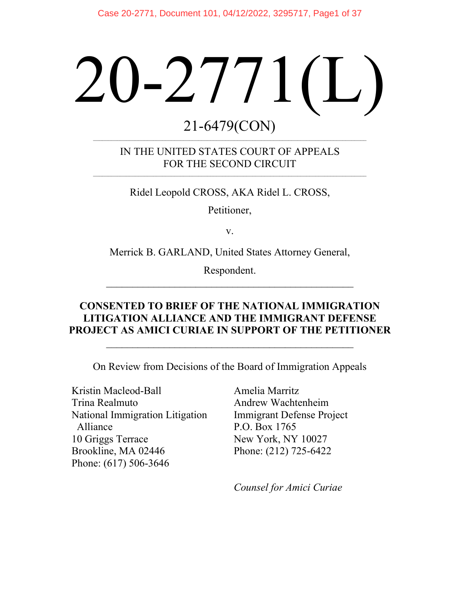# 20-2771(L)

## 21-6479(CON) \_\_\_\_\_\_\_\_\_\_\_\_\_\_\_\_\_\_\_\_\_\_\_\_\_\_\_\_\_\_\_\_\_\_\_\_\_\_\_\_\_\_\_\_\_\_\_\_\_\_\_\_\_\_\_\_\_\_\_\_\_\_\_\_\_\_\_\_\_\_\_\_\_\_\_\_\_\_\_\_\_\_\_\_\_\_\_\_\_\_\_

IN THE UNITED STATES COURT OF APPEALS FOR THE SECOND CIRCUIT

 $\mathcal{L}_\mathcal{L} = \mathcal{L}_\mathcal{L} = \mathcal{L}_\mathcal{L} = \mathcal{L}_\mathcal{L} = \mathcal{L}_\mathcal{L} = \mathcal{L}_\mathcal{L} = \mathcal{L}_\mathcal{L} = \mathcal{L}_\mathcal{L} = \mathcal{L}_\mathcal{L} = \mathcal{L}_\mathcal{L} = \mathcal{L}_\mathcal{L} = \mathcal{L}_\mathcal{L} = \mathcal{L}_\mathcal{L} = \mathcal{L}_\mathcal{L} = \mathcal{L}_\mathcal{L} = \mathcal{L}_\mathcal{L} = \mathcal{L}_\mathcal{L}$ 

Ridel Leopold CROSS, AKA Ridel L. CROSS,

Petitioner,

v.

Merrick B. GARLAND, United States Attorney General,

Respondent. \_\_\_\_\_\_\_\_\_\_\_\_\_\_\_\_\_\_\_\_\_\_\_\_\_\_\_\_\_\_\_\_\_\_\_\_\_\_\_\_\_\_\_\_\_\_\_

## **CONSENTED TO BRIEF OF THE NATIONAL IMMIGRATION LITIGATION ALLIANCE AND THE IMMIGRANT DEFENSE PROJECT AS AMICI CURIAE IN SUPPORT OF THE PETITIONER**

\_\_\_\_\_\_\_\_\_\_\_\_\_\_\_\_\_\_\_\_\_\_\_\_\_\_\_\_\_\_\_\_\_\_\_\_\_\_\_\_\_\_\_\_\_\_\_

On Review from Decisions of the Board of Immigration Appeals

Kristin Macleod-Ball Trina Realmuto National Immigration Litigation Alliance 10 Griggs Terrace Brookline, MA 02446 Phone: (617) 506-3646

Amelia Marritz Andrew Wachtenheim Immigrant Defense Project P.O. Box 1765 New York, NY 10027 Phone: (212) 725-6422

*Counsel for Amici Curiae*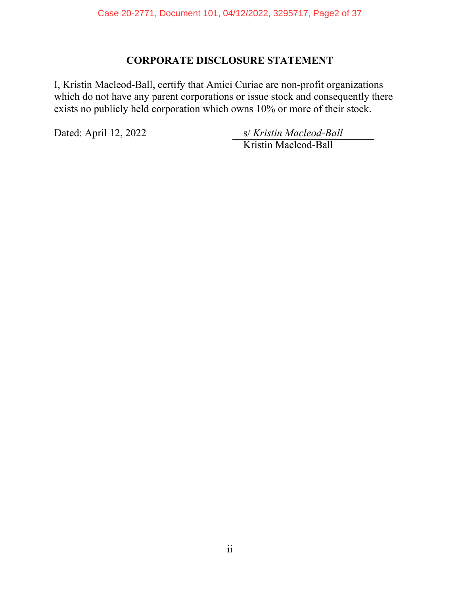## **CORPORATE DISCLOSURE STATEMENT**

I, Kristin Macleod-Ball, certify that Amici Curiae are non-profit organizations which do not have any parent corporations or issue stock and consequently there exists no publicly held corporation which owns 10% or more of their stock.

Dated: April 12, 2022 s/ *Kristin Macleod-Ball* Kristin Macleod-Ball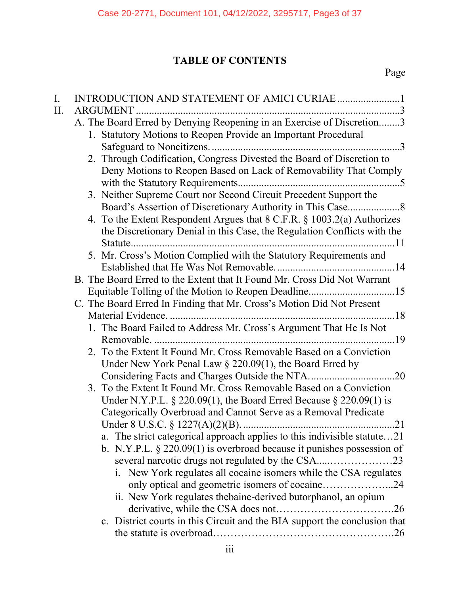# **TABLE OF CONTENTS**

Page

| I.  |                                                                            |
|-----|----------------------------------------------------------------------------|
| II. |                                                                            |
|     | A. The Board Erred by Denying Reopening in an Exercise of Discretion3      |
|     | 1. Statutory Motions to Reopen Provide an Important Procedural             |
|     |                                                                            |
|     | 2. Through Codification, Congress Divested the Board of Discretion to      |
|     | Deny Motions to Reopen Based on Lack of Removability That Comply           |
|     |                                                                            |
|     | 3. Neither Supreme Court nor Second Circuit Precedent Support the          |
|     |                                                                            |
|     | 4. To the Extent Respondent Argues that 8 C.F.R. § 1003.2(a) Authorizes    |
|     | the Discretionary Denial in this Case, the Regulation Conflicts with the   |
|     |                                                                            |
|     | 5. Mr. Cross's Motion Complied with the Statutory Requirements and         |
|     | B. The Board Erred to the Extent that It Found Mr. Cross Did Not Warrant   |
|     |                                                                            |
|     | C. The Board Erred In Finding that Mr. Cross's Motion Did Not Present      |
|     |                                                                            |
|     | 1. The Board Failed to Address Mr. Cross's Argument That He Is Not         |
|     |                                                                            |
|     | 2. To the Extent It Found Mr. Cross Removable Based on a Conviction        |
|     | Under New York Penal Law $\S$ 220.09(1), the Board Erred by                |
|     |                                                                            |
|     | 3. To the Extent It Found Mr. Cross Removable Based on a Conviction        |
|     | Under N.Y.P.L. $\S 220.09(1)$ , the Board Erred Because $\S 220.09(1)$ is  |
|     | Categorically Overbroad and Cannot Serve as a Removal Predicate            |
|     |                                                                            |
|     | a. The strict categorical approach applies to this indivisible statute21   |
|     | b. N.Y.P.L. $\S 220.09(1)$ is overbroad because it punishes possession of  |
|     | several narcotic drugs not regulated by the CSA23                          |
|     | i. New York regulates all cocaine isomers while the CSA regulates          |
|     | only optical and geometric isomers of cocaine24                            |
|     | ii. New York regulates thebaine-derived butorphanol, an opium              |
|     |                                                                            |
|     | c. District courts in this Circuit and the BIA support the conclusion that |
|     |                                                                            |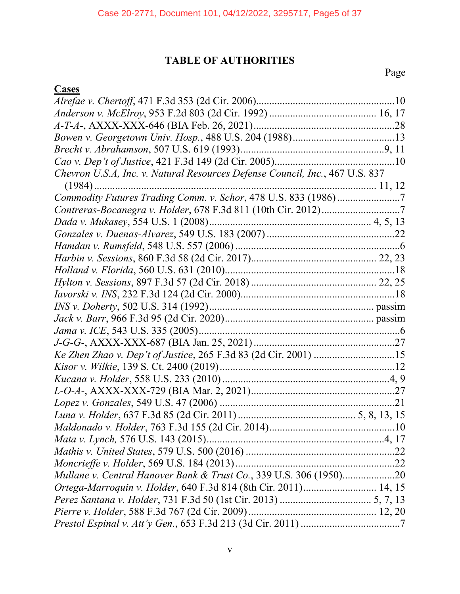## **TABLE OF AUTHORITIES**

Page

# **Cases**

| Chevron U.S.A, Inc. v. Natural Resources Defense Council, Inc., 467 U.S. 837 |  |
|------------------------------------------------------------------------------|--|
|                                                                              |  |
| Commodity Futures Trading Comm. v. Schor, 478 U.S. 833 (1986)7               |  |
|                                                                              |  |
|                                                                              |  |
|                                                                              |  |
|                                                                              |  |
|                                                                              |  |
|                                                                              |  |
|                                                                              |  |
|                                                                              |  |
|                                                                              |  |
|                                                                              |  |
|                                                                              |  |
|                                                                              |  |
| Ke Zhen Zhao v. Dep't of Justice, 265 F.3d 83 (2d Cir. 2001) 15              |  |
|                                                                              |  |
|                                                                              |  |
|                                                                              |  |
|                                                                              |  |
|                                                                              |  |
|                                                                              |  |
|                                                                              |  |
|                                                                              |  |
|                                                                              |  |
|                                                                              |  |
| Ortega-Marroquin v. Holder, 640 F.3d 814 (8th Cir. 2011) 14, 15              |  |
|                                                                              |  |
|                                                                              |  |
|                                                                              |  |
|                                                                              |  |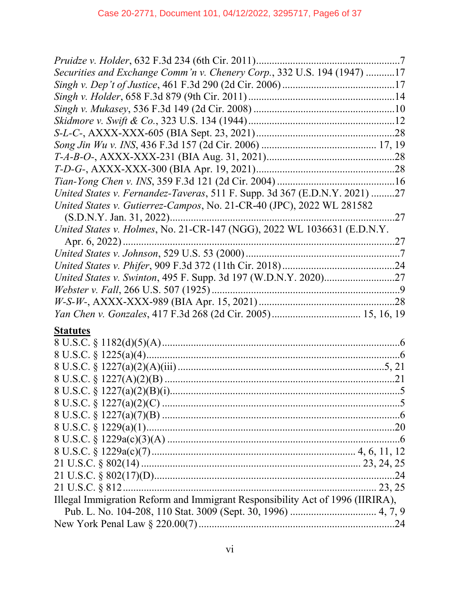| Securities and Exchange Comm'n v. Chenery Corp., 332 U.S. 194 (1947) 17       |  |
|-------------------------------------------------------------------------------|--|
|                                                                               |  |
|                                                                               |  |
|                                                                               |  |
|                                                                               |  |
|                                                                               |  |
|                                                                               |  |
|                                                                               |  |
|                                                                               |  |
|                                                                               |  |
| United States v. Fernandez-Taveras, 511 F. Supp. 3d 367 (E.D.N.Y. 2021) 27    |  |
| United States v. Gutierrez-Campos, No. 21-CR-40 (JPC), 2022 WL 281582         |  |
|                                                                               |  |
| United States v. Holmes, No. 21-CR-147 (NGG), 2022 WL 1036631 (E.D.N.Y.       |  |
|                                                                               |  |
|                                                                               |  |
|                                                                               |  |
|                                                                               |  |
|                                                                               |  |
|                                                                               |  |
|                                                                               |  |
| <b>Statutes</b>                                                               |  |
|                                                                               |  |
|                                                                               |  |
|                                                                               |  |
|                                                                               |  |
|                                                                               |  |
|                                                                               |  |
|                                                                               |  |
|                                                                               |  |
|                                                                               |  |
|                                                                               |  |
|                                                                               |  |
|                                                                               |  |
|                                                                               |  |
| Illegal Immigration Reform and Immigrant Responsibility Act of 1996 (IIRIRA), |  |
|                                                                               |  |
|                                                                               |  |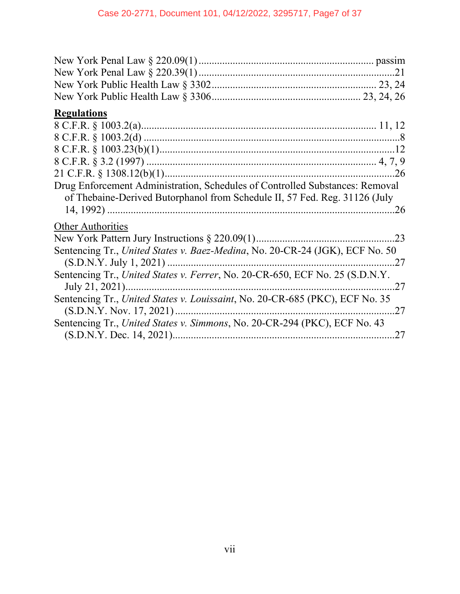| <b>Regulations</b>                                                                                                                                         |     |
|------------------------------------------------------------------------------------------------------------------------------------------------------------|-----|
|                                                                                                                                                            |     |
|                                                                                                                                                            |     |
|                                                                                                                                                            |     |
|                                                                                                                                                            |     |
|                                                                                                                                                            |     |
| Drug Enforcement Administration, Schedules of Controlled Substances: Removal<br>of Thebaine-Derived Butorphanol from Schedule II, 57 Fed. Reg. 31126 (July |     |
|                                                                                                                                                            |     |
| <b>Other Authorities</b>                                                                                                                                   |     |
|                                                                                                                                                            |     |
| Sentencing Tr., United States v. Baez-Medina, No. 20-CR-24 (JGK), ECF No. 50                                                                               |     |
| 27                                                                                                                                                         |     |
| Sentencing Tr., United States v. Ferrer, No. 20-CR-650, ECF No. 25 (S.D.N.Y.<br>July 21, 2021)                                                             | .27 |
| Sentencing Tr., United States v. Louissaint, No. 20-CR-685 (PKC), ECF No. 35<br>27                                                                         |     |
| Sentencing Tr., United States v. Simmons, No. 20-CR-294 (PKC), ECF No. 43                                                                                  |     |
|                                                                                                                                                            | .27 |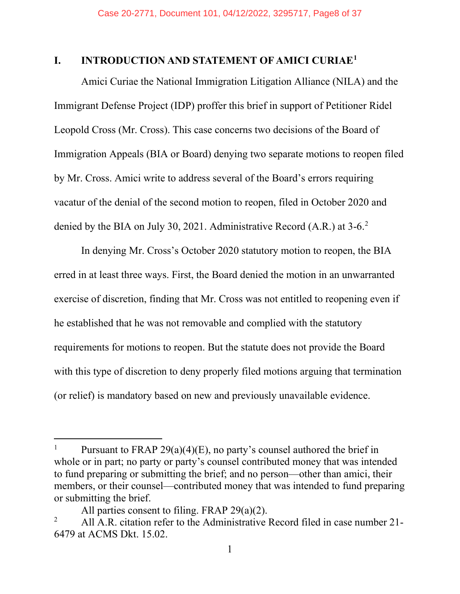## <span id="page-7-0"></span>**I. INTRODUCTION AND STATEMENT OF AMICI CURIAE[1](#page-7-1)**

Amici Curiae the National Immigration Litigation Alliance (NILA) and the Immigrant Defense Project (IDP) proffer this brief in support of Petitioner Ridel Leopold Cross (Mr. Cross). This case concerns two decisions of the Board of Immigration Appeals (BIA or Board) denying two separate motions to reopen filed by Mr. Cross. Amici write to address several of the Board's errors requiring vacatur of the denial of the second motion to reopen, filed in October 2020 and denied by the BIA on July 30, [2](#page-7-2)021. Administrative Record (A.R.) at 3-6.<sup>2</sup>

In denying Mr. Cross's October 2020 statutory motion to reopen, the BIA erred in at least three ways. First, the Board denied the motion in an unwarranted exercise of discretion, finding that Mr. Cross was not entitled to reopening even if he established that he was not removable and complied with the statutory requirements for motions to reopen. But the statute does not provide the Board with this type of discretion to deny properly filed motions arguing that termination (or relief) is mandatory based on new and previously unavailable evidence.

<span id="page-7-1"></span>Pursuant to FRAP 29(a)(4)(E), no party's counsel authored the brief in whole or in part; no party or party's counsel contributed money that was intended to fund preparing or submitting the brief; and no person—other than amici, their members, or their counsel—contributed money that was intended to fund preparing or submitting the brief.

All parties consent to filing. FRAP 29(a)(2).

<span id="page-7-2"></span><sup>&</sup>lt;sup>2</sup> All A.R. citation refer to the Administrative Record filed in case number 21-6479 at ACMS Dkt. 15.02.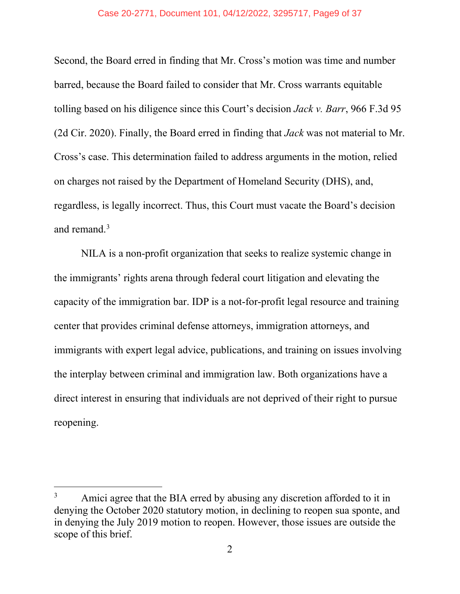#### Case 20-2771, Document 101, 04/12/2022, 3295717, Page9 of 37

Second, the Board erred in finding that Mr. Cross's motion was time and number barred, because the Board failed to consider that Mr. Cross warrants equitable tolling based on his diligence since this Court's decision *Jack v. Barr*, 966 F.3d 95 (2d Cir. 2020). Finally, the Board erred in finding that *Jack* was not material to Mr. Cross's case. This determination failed to address arguments in the motion, relied on charges not raised by the Department of Homeland Security (DHS), and, regardless, is legally incorrect. Thus, this Court must vacate the Board's decision and remand. [3](#page-8-0)

NILA is a non-profit organization that seeks to realize systemic change in the immigrants' rights arena through federal court litigation and elevating the capacity of the immigration bar. IDP is a not-for-profit legal resource and training center that provides criminal defense attorneys, immigration attorneys, and immigrants with expert legal advice, publications, and training on issues involving the interplay between criminal and immigration law. Both organizations have a direct interest in ensuring that individuals are not deprived of their right to pursue reopening.

<span id="page-8-0"></span><sup>&</sup>lt;sup>3</sup> Amici agree that the BIA erred by abusing any discretion afforded to it in denying the October 2020 statutory motion, in declining to reopen sua sponte, and in denying the July 2019 motion to reopen. However, those issues are outside the scope of this brief.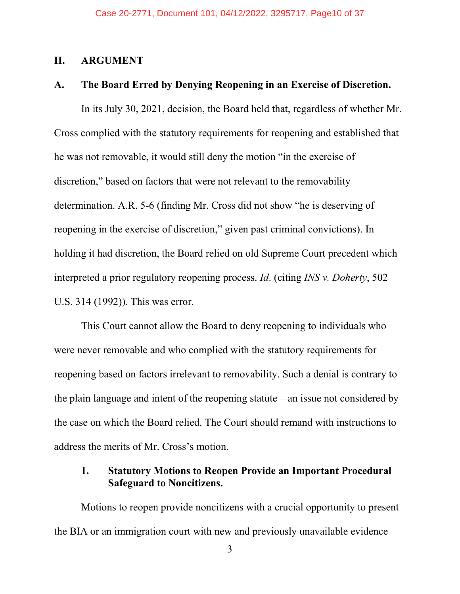#### <span id="page-9-0"></span>**II. ARGUMENT**

#### <span id="page-9-1"></span>**A. The Board Erred by Denying Reopening in an Exercise of Discretion.**

In its July 30, 2021, decision, the Board held that, regardless of whether Mr. Cross complied with the statutory requirements for reopening and established that he was not removable, it would still deny the motion "in the exercise of discretion," based on factors that were not relevant to the removability determination. A.R. 5-6 (finding Mr. Cross did not show "he is deserving of reopening in the exercise of discretion," given past criminal convictions). In holding it had discretion, the Board relied on old Supreme Court precedent which interpreted a prior regulatory reopening process. *Id*. (citing *INS v. Doherty*, 502 U.S. 314 (1992)). This was error.

This Court cannot allow the Board to deny reopening to individuals who were never removable and who complied with the statutory requirements for reopening based on factors irrelevant to removability. Such a denial is contrary to the plain language and intent of the reopening statute—an issue not considered by the case on which the Board relied. The Court should remand with instructions to address the merits of Mr. Cross's motion.

## <span id="page-9-2"></span>**1. Statutory Motions to Reopen Provide an Important Procedural Safeguard to Noncitizens.**

Motions to reopen provide noncitizens with a crucial opportunity to present the BIA or an immigration court with new and previously unavailable evidence

3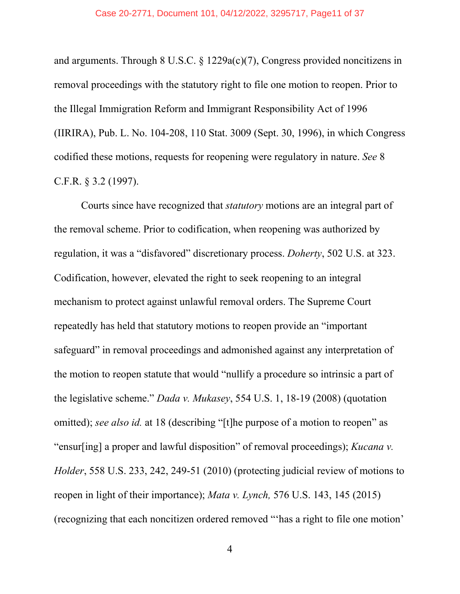#### Case 20-2771, Document 101, 04/12/2022, 3295717, Page11 of 37

and arguments. Through 8 U.S.C. § 1229a(c)(7), Congress provided noncitizens in removal proceedings with the statutory right to file one motion to reopen. Prior to the Illegal Immigration Reform and Immigrant Responsibility Act of 1996 (IIRIRA), Pub. L. No. 104-208, 110 Stat. 3009 (Sept. 30, 1996), in which Congress codified these motions, requests for reopening were regulatory in nature. *See* 8 C.F.R. § 3.2 (1997).

Courts since have recognized that *statutory* motions are an integral part of the removal scheme. Prior to codification, when reopening was authorized by regulation, it was a "disfavored" discretionary process. *Doherty*, 502 U.S. at 323. Codification, however, elevated the right to seek reopening to an integral mechanism to protect against unlawful removal orders. The Supreme Court repeatedly has held that statutory motions to reopen provide an "important safeguard" in removal proceedings and admonished against any interpretation of the motion to reopen statute that would "nullify a procedure so intrinsic a part of the legislative scheme." *Dada v. Mukasey*, 554 U.S. 1, 18-19 (2008) (quotation omitted); *see also id.* at 18 (describing "[t]he purpose of a motion to reopen" as "ensur[ing] a proper and lawful disposition" of removal proceedings); *Kucana v. Holder*, 558 U.S. 233, 242, 249-51 (2010) (protecting judicial review of motions to reopen in light of their importance); *Mata v. Lynch,* 576 U.S. 143, 145 (2015) (recognizing that each noncitizen ordered removed "'has a right to file one motion'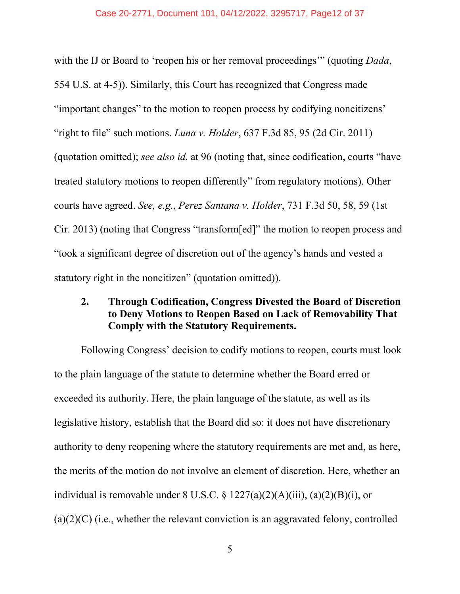#### Case 20-2771, Document 101, 04/12/2022, 3295717, Page12 of 37

with the IJ or Board to 'reopen his or her removal proceedings'" (quoting *Dada*, 554 U.S. at 4-5)). Similarly, this Court has recognized that Congress made "important changes" to the motion to reopen process by codifying noncitizens' "right to file" such motions. *Luna v. Holder*, 637 F.3d 85, 95 (2d Cir. 2011) (quotation omitted); *see also id.* at 96 (noting that, since codification, courts "have treated statutory motions to reopen differently" from regulatory motions). Other courts have agreed. *See, e.g.*, *Perez Santana v. Holder*, 731 F.3d 50, 58, 59 (1st Cir. 2013) (noting that Congress "transform[ed]" the motion to reopen process and "took a significant degree of discretion out of the agency's hands and vested a statutory right in the noncitizen" (quotation omitted)).

## <span id="page-11-0"></span>**2. Through Codification, Congress Divested the Board of Discretion to Deny Motions to Reopen Based on Lack of Removability That Comply with the Statutory Requirements.**

Following Congress' decision to codify motions to reopen, courts must look to the plain language of the statute to determine whether the Board erred or exceeded its authority. Here, the plain language of the statute, as well as its legislative history, establish that the Board did so: it does not have discretionary authority to deny reopening where the statutory requirements are met and, as here, the merits of the motion do not involve an element of discretion. Here, whether an individual is removable under  $8 \text{ U.S.C.} \$  $\frac{3}{227(a)(2)(\text{ A})(iii)}$ ,  $\frac{a}{2}(2)(\text{ B})(i)$ , or  $(a)(2)(C)$  (i.e., whether the relevant conviction is an aggravated felony, controlled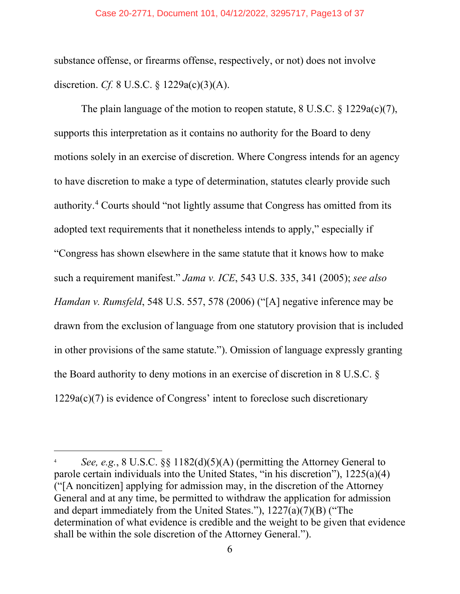#### Case 20-2771, Document 101, 04/12/2022, 3295717, Page13 of 37

substance offense, or firearms offense, respectively, or not) does not involve discretion. *Cf.* 8 U.S.C. § 1229a(c)(3)(A).

The plain language of the motion to reopen statute, 8 U.S.C. § 1229a(c)(7), supports this interpretation as it contains no authority for the Board to deny motions solely in an exercise of discretion. Where Congress intends for an agency to have discretion to make a type of determination, statutes clearly provide such authority.[4](#page-12-0) Courts should "not lightly assume that Congress has omitted from its adopted text requirements that it nonetheless intends to apply," especially if "Congress has shown elsewhere in the same statute that it knows how to make such a requirement manifest." *Jama v. ICE*, 543 U.S. 335, 341 (2005); *see also Hamdan v. Rumsfeld*, 548 U.S. 557, 578 (2006) ("[A] negative inference may be drawn from the exclusion of language from one statutory provision that is included in other provisions of the same statute."). Omission of language expressly granting the Board authority to deny motions in an exercise of discretion in 8 U.S.C. §  $1229a(c)(7)$  is evidence of Congress' intent to foreclose such discretionary

<span id="page-12-0"></span>*See, e.g.*, 8 U.S.C.  $\S$  1182(d)(5)(A) (permitting the Attorney General to parole certain individuals into the United States, "in his discretion"), 1225(a)(4) ("[A noncitizen] applying for admission may, in the discretion of the Attorney General and at any time, be permitted to withdraw the application for admission and depart immediately from the United States."), 1227(a)(7)(B) ("The determination of what evidence is credible and the weight to be given that evidence shall be within the sole discretion of the Attorney General.").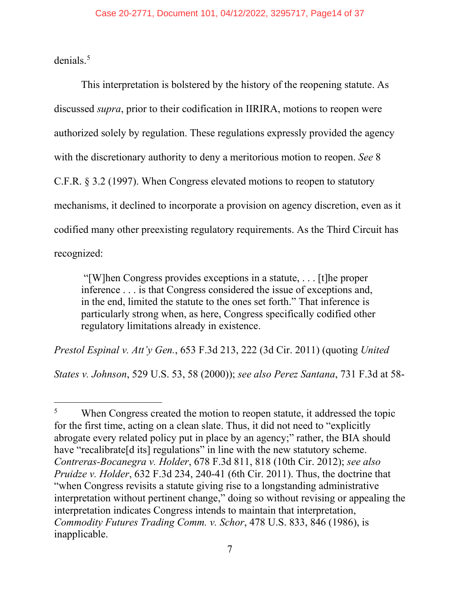denials.<sup>[5](#page-13-0)</sup>

This interpretation is bolstered by the history of the reopening statute. As discussed *supra*, prior to their codification in IIRIRA, motions to reopen were authorized solely by regulation. These regulations expressly provided the agency with the discretionary authority to deny a meritorious motion to reopen. *See* 8 C.F.R. § 3.2 (1997). When Congress elevated motions to reopen to statutory mechanisms, it declined to incorporate a provision on agency discretion, even as it codified many other preexisting regulatory requirements. As the Third Circuit has recognized:

"[W]hen Congress provides exceptions in a statute, . . . [t]he proper inference . . . is that Congress considered the issue of exceptions and, in the end, limited the statute to the ones set forth." That inference is particularly strong when, as here, Congress specifically codified other regulatory limitations already in existence.

*Prestol Espinal v. Att'y Gen.*, 653 F.3d 213, 222 (3d Cir. 2011) (quoting *United* 

*States v. Johnson*, 529 U.S. 53, 58 (2000)); *see also Perez Santana*, 731 F.3d at 58-

<span id="page-13-0"></span><sup>&</sup>lt;sup>5</sup> When Congress created the motion to reopen statute, it addressed the topic for the first time, acting on a clean slate. Thus, it did not need to "explicitly abrogate every related policy put in place by an agency;" rather, the BIA should have "recalibrate<sup>[d its]</sup> regulations" in line with the new statutory scheme. *Contreras-Bocanegra v. Holder*, 678 F.3d 811, 818 (10th Cir. 2012); *see also Pruidze v. Holder*, 632 F.3d 234, 240-41 (6th Cir. 2011). Thus, the doctrine that "when Congress revisits a statute giving rise to a longstanding administrative interpretation without pertinent change," doing so without revising or appealing the interpretation indicates Congress intends to maintain that interpretation, *Commodity Futures Trading Comm. v. Schor*, 478 U.S. 833, 846 (1986), is inapplicable.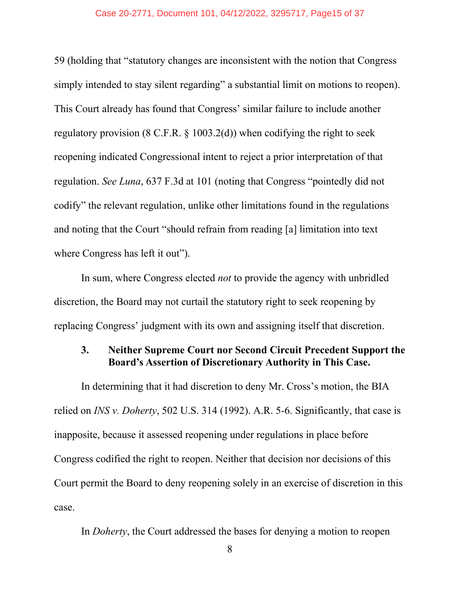#### Case 20-2771, Document 101, 04/12/2022, 3295717, Page15 of 37

59 (holding that "statutory changes are inconsistent with the notion that Congress simply intended to stay silent regarding" a substantial limit on motions to reopen). This Court already has found that Congress' similar failure to include another regulatory provision (8 C.F.R.  $\S$  1003.2(d)) when codifying the right to seek reopening indicated Congressional intent to reject a prior interpretation of that regulation. *See Luna*, 637 F.3d at 101 (noting that Congress "pointedly did not codify" the relevant regulation, unlike other limitations found in the regulations and noting that the Court "should refrain from reading [a] limitation into text where Congress has left it out").

In sum, where Congress elected *not* to provide the agency with unbridled discretion, the Board may not curtail the statutory right to seek reopening by replacing Congress' judgment with its own and assigning itself that discretion.

## <span id="page-14-0"></span>**3. Neither Supreme Court nor Second Circuit Precedent Support the Board's Assertion of Discretionary Authority in This Case.**

In determining that it had discretion to deny Mr. Cross's motion, the BIA relied on *INS v. Doherty*, 502 U.S. 314 (1992). A.R. 5-6. Significantly, that case is inapposite, because it assessed reopening under regulations in place before Congress codified the right to reopen. Neither that decision nor decisions of this Court permit the Board to deny reopening solely in an exercise of discretion in this case.

In *Doherty*, the Court addressed the bases for denying a motion to reopen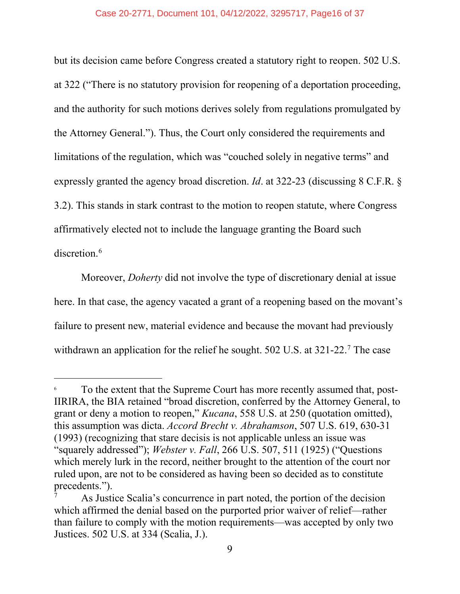#### Case 20-2771, Document 101, 04/12/2022, 3295717, Page16 of 37

but its decision came before Congress created a statutory right to reopen. 502 U.S. at 322 ("There is no statutory provision for reopening of a deportation proceeding, and the authority for such motions derives solely from regulations promulgated by the Attorney General."). Thus, the Court only considered the requirements and limitations of the regulation, which was "couched solely in negative terms" and expressly granted the agency broad discretion. *Id*. at 322-23 (discussing 8 C.F.R. § 3.2). This stands in stark contrast to the motion to reopen statute, where Congress affirmatively elected not to include the language granting the Board such discretion. [6](#page-15-0)

Moreover, *Doherty* did not involve the type of discretionary denial at issue here. In that case, the agency vacated a grant of a reopening based on the movant's failure to present new, material evidence and because the movant had previously withdrawn an application for the relief he sought. 502 U.S. at 321-22.<sup>[7](#page-15-1)</sup> The case

<span id="page-15-0"></span> $6\sigma$  To the extent that the Supreme Court has more recently assumed that, post-IIRIRA, the BIA retained "broad discretion, conferred by the Attorney General, to grant or deny a motion to reopen," *Kucana*, 558 U.S. at 250 (quotation omitted), this assumption was dicta. *Accord Brecht v. Abrahamson*, 507 U.S. 619, 630-31 (1993) (recognizing that stare decisis is not applicable unless an issue was "squarely addressed"); *Webster v. Fall*, 266 U.S. 507, 511 (1925) ("Questions which merely lurk in the record, neither brought to the attention of the court nor ruled upon, are not to be considered as having been so decided as to constitute precedents.").

<span id="page-15-1"></span>As Justice Scalia's concurrence in part noted, the portion of the decision which affirmed the denial based on the purported prior waiver of relief—rather than failure to comply with the motion requirements—was accepted by only two Justices. 502 U.S. at 334 (Scalia, J.).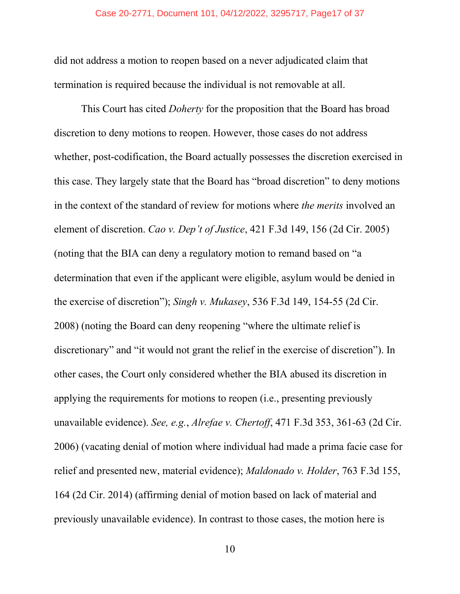#### Case 20-2771, Document 101, 04/12/2022, 3295717, Page17 of 37

did not address a motion to reopen based on a never adjudicated claim that termination is required because the individual is not removable at all.

This Court has cited *Doherty* for the proposition that the Board has broad discretion to deny motions to reopen. However, those cases do not address whether, post-codification, the Board actually possesses the discretion exercised in this case. They largely state that the Board has "broad discretion" to deny motions in the context of the standard of review for motions where *the merits* involved an element of discretion. *Cao v. Dep't of Justice*, 421 F.3d 149, 156 (2d Cir. 2005) (noting that the BIA can deny a regulatory motion to remand based on "a determination that even if the applicant were eligible, asylum would be denied in the exercise of discretion"); *Singh v. Mukasey*, 536 F.3d 149, 154-55 (2d Cir. 2008) (noting the Board can deny reopening "where the ultimate relief is discretionary" and "it would not grant the relief in the exercise of discretion"). In other cases, the Court only considered whether the BIA abused its discretion in applying the requirements for motions to reopen (i.e., presenting previously unavailable evidence). *See, e.g.*, *Alrefae v. Chertoff*, 471 F.3d 353, 361-63 (2d Cir. 2006) (vacating denial of motion where individual had made a prima facie case for relief and presented new, material evidence); *Maldonado v. Holder*, 763 F.3d 155, 164 (2d Cir. 2014) (affirming denial of motion based on lack of material and previously unavailable evidence). In contrast to those cases, the motion here is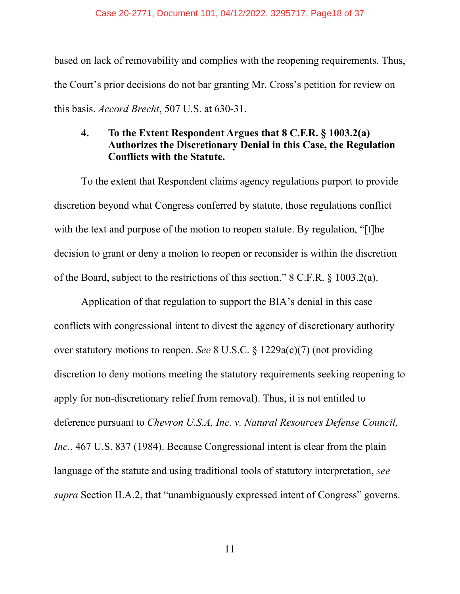#### Case 20-2771, Document 101, 04/12/2022, 3295717, Page18 of 37

based on lack of removability and complies with the reopening requirements. Thus, the Court's prior decisions do not bar granting Mr. Cross's petition for review on this basis. *Accord Brecht*, 507 U.S. at 630-31.

## <span id="page-17-0"></span>**4. To the Extent Respondent Argues that 8 C.F.R. § 1003.2(a) Authorizes the Discretionary Denial in this Case, the Regulation Conflicts with the Statute.**

To the extent that Respondent claims agency regulations purport to provide discretion beyond what Congress conferred by statute, those regulations conflict with the text and purpose of the motion to reopen statute. By regulation, "[t]he decision to grant or deny a motion to reopen or reconsider is within the discretion of the Board, subject to the restrictions of this section." 8 C.F.R. § 1003.2(a).

Application of that regulation to support the BIA's denial in this case conflicts with congressional intent to divest the agency of discretionary authority over statutory motions to reopen. *See* 8 U.S.C. § 1229a(c)(7) (not providing discretion to deny motions meeting the statutory requirements seeking reopening to apply for non-discretionary relief from removal). Thus, it is not entitled to deference pursuant to *Chevron U.S.A, Inc. v. Natural Resources Defense Council, Inc.*, 467 U.S. 837 (1984). Because Congressional intent is clear from the plain language of the statute and using traditional tools of statutory interpretation, *see supra* Section II.A.2, that "unambiguously expressed intent of Congress" governs.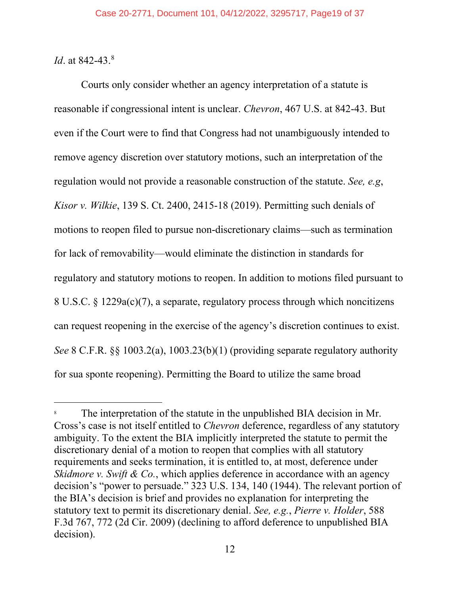*Id.* at [8](#page-18-0)42-43.<sup>8</sup>

Courts only consider whether an agency interpretation of a statute is reasonable if congressional intent is unclear. *Chevron*, 467 U.S. at 842-43. But even if the Court were to find that Congress had not unambiguously intended to remove agency discretion over statutory motions, such an interpretation of the regulation would not provide a reasonable construction of the statute. *See, e.g*, *Kisor v. Wilkie*, 139 S. Ct. 2400, 2415-18 (2019). Permitting such denials of motions to reopen filed to pursue non-discretionary claims—such as termination for lack of removability—would eliminate the distinction in standards for regulatory and statutory motions to reopen. In addition to motions filed pursuant to 8 U.S.C. § 1229a(c)(7), a separate, regulatory process through which noncitizens can request reopening in the exercise of the agency's discretion continues to exist. *See* 8 C.F.R. §§ 1003.2(a), 1003.23(b)(1) (providing separate regulatory authority for sua sponte reopening). Permitting the Board to utilize the same broad

<span id="page-18-0"></span>The interpretation of the statute in the unpublished BIA decision in Mr. Cross's case is not itself entitled to *Chevron* deference, regardless of any statutory ambiguity. To the extent the BIA implicitly interpreted the statute to permit the discretionary denial of a motion to reopen that complies with all statutory requirements and seeks termination, it is entitled to, at most, deference under *Skidmore v. Swift & Co.*, which applies deference in accordance with an agency decision's "power to persuade." 323 U.S. 134, 140 (1944). The relevant portion of the BIA's decision is brief and provides no explanation for interpreting the statutory text to permit its discretionary denial. *See, e.g.*, *Pierre v. Holder*, 588 F.3d 767, 772 (2d Cir. 2009) (declining to afford deference to unpublished BIA decision).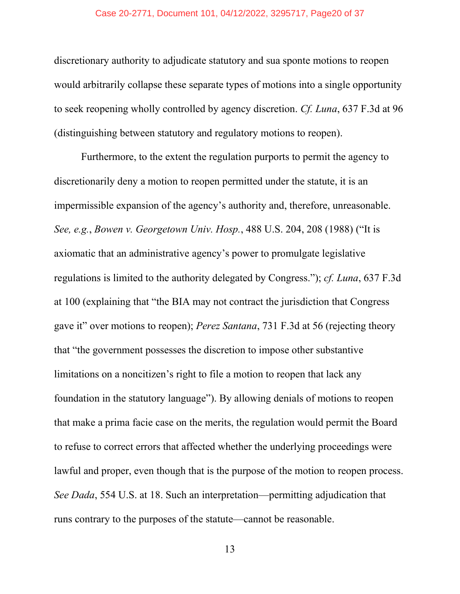#### Case 20-2771, Document 101, 04/12/2022, 3295717, Page20 of 37

discretionary authority to adjudicate statutory and sua sponte motions to reopen would arbitrarily collapse these separate types of motions into a single opportunity to seek reopening wholly controlled by agency discretion. *Cf. Luna*, 637 F.3d at 96 (distinguishing between statutory and regulatory motions to reopen).

Furthermore, to the extent the regulation purports to permit the agency to discretionarily deny a motion to reopen permitted under the statute, it is an impermissible expansion of the agency's authority and, therefore, unreasonable. *See, e.g.*, *Bowen v. Georgetown Univ. Hosp.*, 488 U.S. 204, 208 (1988) ("It is axiomatic that an administrative agency's power to promulgate legislative regulations is limited to the authority delegated by Congress."); *cf. Luna*, 637 F.3d at 100 (explaining that "the BIA may not contract the jurisdiction that Congress gave it" over motions to reopen); *Perez Santana*, 731 F.3d at 56 (rejecting theory that "the government possesses the discretion to impose other substantive limitations on a noncitizen's right to file a motion to reopen that lack any foundation in the statutory language"). By allowing denials of motions to reopen that make a prima facie case on the merits, the regulation would permit the Board to refuse to correct errors that affected whether the underlying proceedings were lawful and proper, even though that is the purpose of the motion to reopen process. *See Dada*, 554 U.S. at 18. Such an interpretation—permitting adjudication that runs contrary to the purposes of the statute—cannot be reasonable.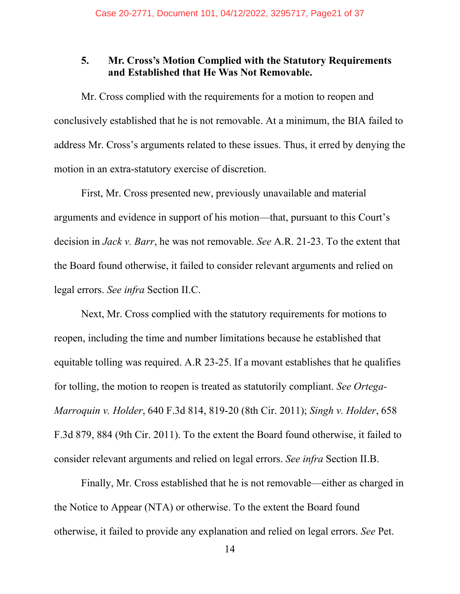## <span id="page-20-0"></span>**5. Mr. Cross's Motion Complied with the Statutory Requirements and Established that He Was Not Removable.**

Mr. Cross complied with the requirements for a motion to reopen and conclusively established that he is not removable. At a minimum, the BIA failed to address Mr. Cross's arguments related to these issues. Thus, it erred by denying the motion in an extra-statutory exercise of discretion.

First, Mr. Cross presented new, previously unavailable and material arguments and evidence in support of his motion—that, pursuant to this Court's decision in *Jack v. Barr*, he was not removable. *See* A.R. 21-23. To the extent that the Board found otherwise, it failed to consider relevant arguments and relied on legal errors. *See infra* Section II.C.

Next, Mr. Cross complied with the statutory requirements for motions to reopen, including the time and number limitations because he established that equitable tolling was required. A.R 23-25. If a movant establishes that he qualifies for tolling, the motion to reopen is treated as statutorily compliant. *See Ortega-Marroquin v. Holder*, 640 F.3d 814, 819-20 (8th Cir. 2011); *Singh v. Holder*, 658 F.3d 879, 884 (9th Cir. 2011). To the extent the Board found otherwise, it failed to consider relevant arguments and relied on legal errors. *See infra* Section II.B.

Finally, Mr. Cross established that he is not removable—either as charged in the Notice to Appear (NTA) or otherwise. To the extent the Board found otherwise, it failed to provide any explanation and relied on legal errors. *See* Pet.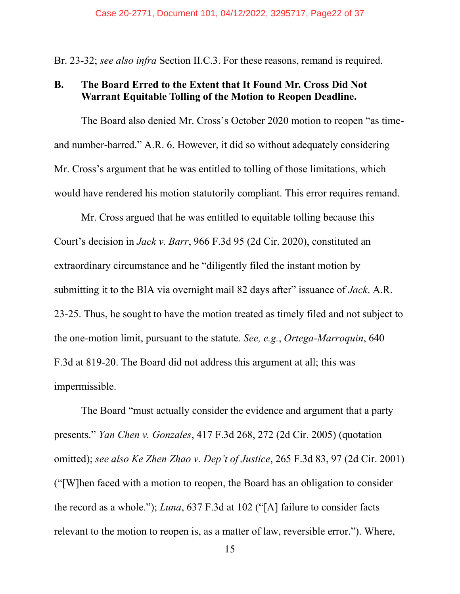Br. 23-32; *see also infra* Section II.C.3. For these reasons, remand is required.

## <span id="page-21-0"></span>**B. The Board Erred to the Extent that It Found Mr. Cross Did Not Warrant Equitable Tolling of the Motion to Reopen Deadline.**

The Board also denied Mr. Cross's October 2020 motion to reopen "as timeand number-barred." A.R. 6. However, it did so without adequately considering Mr. Cross's argument that he was entitled to tolling of those limitations, which would have rendered his motion statutorily compliant. This error requires remand.

Mr. Cross argued that he was entitled to equitable tolling because this Court's decision in *Jack v. Barr*, 966 F.3d 95 (2d Cir. 2020), constituted an extraordinary circumstance and he "diligently filed the instant motion by submitting it to the BIA via overnight mail 82 days after" issuance of *Jack*. A.R. 23-25. Thus, he sought to have the motion treated as timely filed and not subject to the one-motion limit, pursuant to the statute. *See, e.g.*, *Ortega-Marroquin*, 640 F.3d at 819-20. The Board did not address this argument at all; this was impermissible.

The Board "must actually consider the evidence and argument that a party presents." *Yan Chen v. Gonzales*, 417 F.3d 268, 272 (2d Cir. 2005) (quotation omitted); *see also Ke Zhen Zhao v. Dep't of Justice*, 265 F.3d 83, 97 (2d Cir. 2001) ("[W]hen faced with a motion to reopen, the Board has an obligation to consider the record as a whole."); *Luna*, 637 F.3d at 102 ("[A] failure to consider facts relevant to the motion to reopen is, as a matter of law, reversible error."). Where,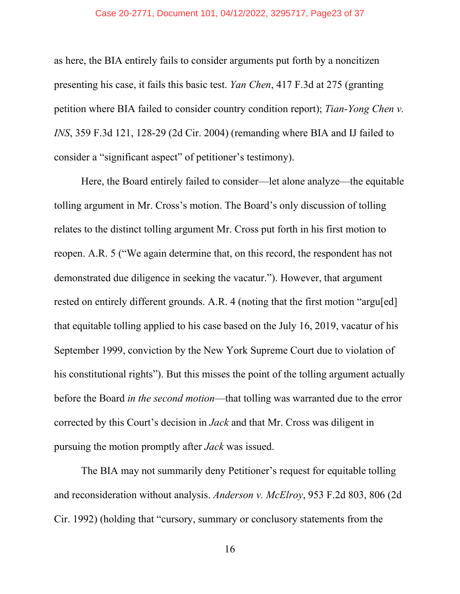#### Case 20-2771, Document 101, 04/12/2022, 3295717, Page23 of 37

as here, the BIA entirely fails to consider arguments put forth by a noncitizen presenting his case, it fails this basic test. *Yan Chen*, 417 F.3d at 275 (granting petition where BIA failed to consider country condition report); *Tian-Yong Chen v. INS*, 359 F.3d 121, 128-29 (2d Cir. 2004) (remanding where BIA and IJ failed to consider a "significant aspect" of petitioner's testimony).

Here, the Board entirely failed to consider—let alone analyze—the equitable tolling argument in Mr. Cross's motion. The Board's only discussion of tolling relates to the distinct tolling argument Mr. Cross put forth in his first motion to reopen. A.R. 5 ("We again determine that, on this record, the respondent has not demonstrated due diligence in seeking the vacatur."). However, that argument rested on entirely different grounds. A.R. 4 (noting that the first motion "argu[ed] that equitable tolling applied to his case based on the July 16, 2019, vacatur of his September 1999, conviction by the New York Supreme Court due to violation of his constitutional rights"). But this misses the point of the tolling argument actually before the Board *in the second motion*—that tolling was warranted due to the error corrected by this Court's decision in *Jack* and that Mr. Cross was diligent in pursuing the motion promptly after *Jack* was issued.

The BIA may not summarily deny Petitioner's request for equitable tolling and reconsideration without analysis. *Anderson v. McElroy*, 953 F.2d 803, 806 (2d Cir. 1992) (holding that "cursory, summary or conclusory statements from the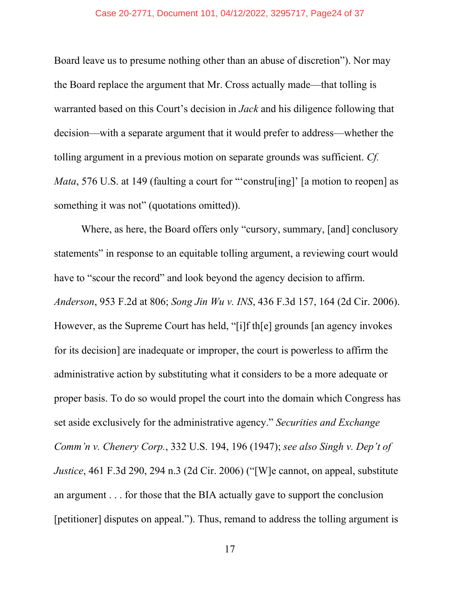#### Case 20-2771, Document 101, 04/12/2022, 3295717, Page24 of 37

Board leave us to presume nothing other than an abuse of discretion"). Nor may the Board replace the argument that Mr. Cross actually made—that tolling is warranted based on this Court's decision in *Jack* and his diligence following that decision—with a separate argument that it would prefer to address—whether the tolling argument in a previous motion on separate grounds was sufficient. *Cf. Mata*, 576 U.S. at 149 (faulting a court for "construling]' [a motion to reopen] as something it was not" (quotations omitted)).

Where, as here, the Board offers only "cursory, summary, [and] conclusory statements" in response to an equitable tolling argument, a reviewing court would have to "scour the record" and look beyond the agency decision to affirm. *Anderson*, 953 F.2d at 806; *Song Jin Wu v. INS*, 436 F.3d 157, 164 (2d Cir. 2006). However, as the Supreme Court has held, "[i]f th[e] grounds [an agency invokes for its decision] are inadequate or improper, the court is powerless to affirm the administrative action by substituting what it considers to be a more adequate or proper basis. To do so would propel the court into the domain which Congress has set aside exclusively for the administrative agency." *Securities and Exchange Comm'n v. Chenery Corp.*, 332 U.S. 194, 196 (1947); *see also Singh v. Dep't of Justice*, 461 F.3d 290, 294 n.3 (2d Cir. 2006) ("[W]e cannot, on appeal, substitute an argument . . . for those that the BIA actually gave to support the conclusion [petitioner] disputes on appeal."). Thus, remand to address the tolling argument is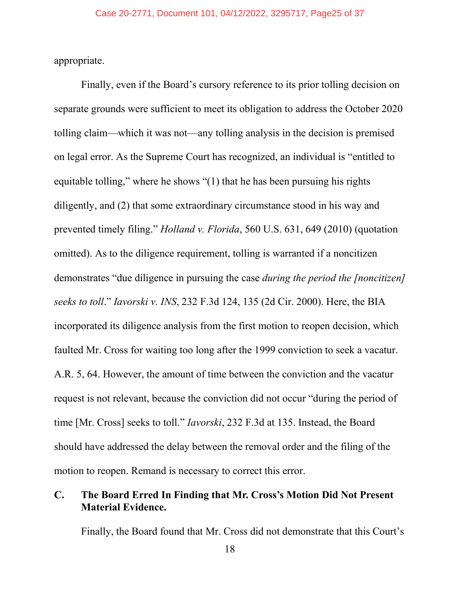appropriate.

Finally, even if the Board's cursory reference to its prior tolling decision on separate grounds were sufficient to meet its obligation to address the October 2020 tolling claim—which it was not—any tolling analysis in the decision is premised on legal error. As the Supreme Court has recognized, an individual is "entitled to equitable tolling," where he shows "(1) that he has been pursuing his rights diligently, and (2) that some extraordinary circumstance stood in his way and prevented timely filing." *Holland v. Florida*, 560 U.S. 631, 649 (2010) (quotation omitted). As to the diligence requirement, tolling is warranted if a noncitizen demonstrates "due diligence in pursuing the case *during the period the [noncitizen] seeks to toll*." *Iavorski v. INS*, 232 F.3d 124, 135 (2d Cir. 2000). Here, the BIA incorporated its diligence analysis from the first motion to reopen decision, which faulted Mr. Cross for waiting too long after the 1999 conviction to seek a vacatur. A.R. 5, 64. However, the amount of time between the conviction and the vacatur request is not relevant, because the conviction did not occur "during the period of time [Mr. Cross] seeks to toll." *Iavorski*, 232 F.3d at 135. Instead, the Board should have addressed the delay between the removal order and the filing of the motion to reopen. Remand is necessary to correct this error.

## <span id="page-24-0"></span>**C. The Board Erred In Finding that Mr. Cross's Motion Did Not Present Material Evidence.**

Finally, the Board found that Mr. Cross did not demonstrate that this Court's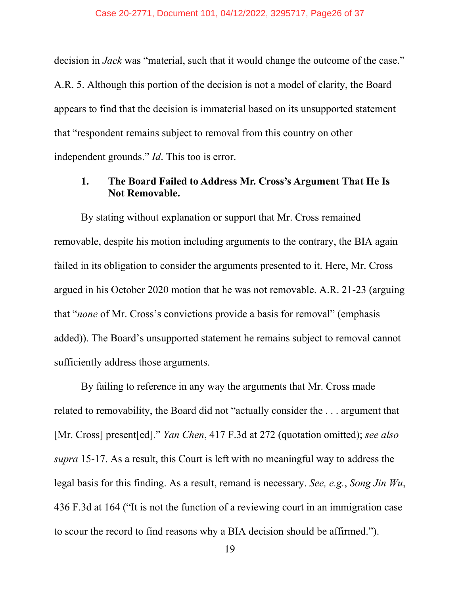decision in *Jack* was "material, such that it would change the outcome of the case." A.R. 5. Although this portion of the decision is not a model of clarity, the Board appears to find that the decision is immaterial based on its unsupported statement that "respondent remains subject to removal from this country on other independent grounds." *Id*. This too is error.

## <span id="page-25-0"></span>**1. The Board Failed to Address Mr. Cross's Argument That He Is Not Removable.**

By stating without explanation or support that Mr. Cross remained removable, despite his motion including arguments to the contrary, the BIA again failed in its obligation to consider the arguments presented to it. Here, Mr. Cross argued in his October 2020 motion that he was not removable. A.R. 21-23 (arguing that "*none* of Mr. Cross's convictions provide a basis for removal" (emphasis added)). The Board's unsupported statement he remains subject to removal cannot sufficiently address those arguments.

By failing to reference in any way the arguments that Mr. Cross made related to removability, the Board did not "actually consider the . . . argument that [Mr. Cross] present[ed]." *Yan Chen*, 417 F.3d at 272 (quotation omitted); *see also supra* 15-17. As a result, this Court is left with no meaningful way to address the legal basis for this finding. As a result, remand is necessary. *See, e.g.*, *Song Jin Wu*, 436 F.3d at 164 ("It is not the function of a reviewing court in an immigration case to scour the record to find reasons why a BIA decision should be affirmed.").

19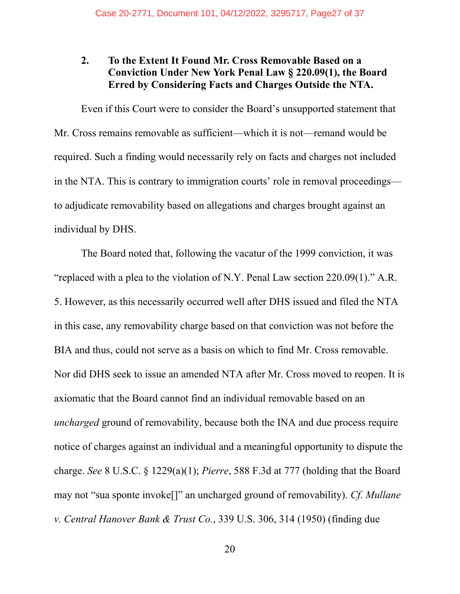## <span id="page-26-0"></span>**2. To the Extent It Found Mr. Cross Removable Based on a Conviction Under New York Penal Law § 220.09(1), the Board Erred by Considering Facts and Charges Outside the NTA.**

Even if this Court were to consider the Board's unsupported statement that Mr. Cross remains removable as sufficient—which it is not—remand would be required. Such a finding would necessarily rely on facts and charges not included in the NTA. This is contrary to immigration courts' role in removal proceedings to adjudicate removability based on allegations and charges brought against an individual by DHS.

The Board noted that, following the vacatur of the 1999 conviction, it was "replaced with a plea to the violation of N.Y. Penal Law section 220.09(1)." A.R. 5. However, as this necessarily occurred well after DHS issued and filed the NTA in this case, any removability charge based on that conviction was not before the BIA and thus, could not serve as a basis on which to find Mr. Cross removable. Nor did DHS seek to issue an amended NTA after Mr. Cross moved to reopen. It is axiomatic that the Board cannot find an individual removable based on an *uncharged* ground of removability, because both the INA and due process require notice of charges against an individual and a meaningful opportunity to dispute the charge. *See* 8 U.S.C. § 1229(a)(1); *Pierre*, 588 F.3d at 777 (holding that the Board may not "sua sponte invoke[]" an uncharged ground of removability). *Cf. Mullane v. Central Hanover Bank & Trust Co.*, 339 U.S. 306, 314 (1950) (finding due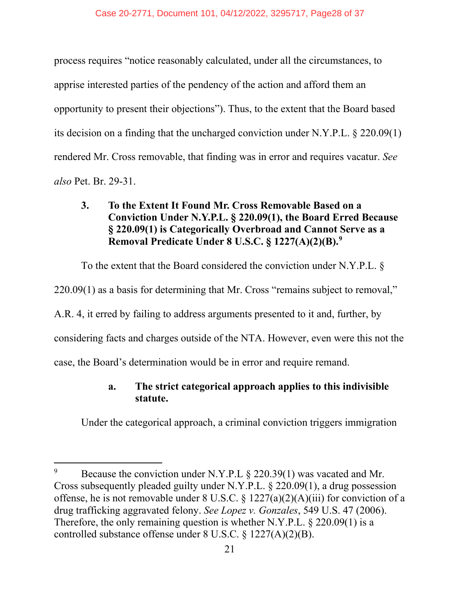process requires "notice reasonably calculated, under all the circumstances, to apprise interested parties of the pendency of the action and afford them an opportunity to present their objections"). Thus, to the extent that the Board based its decision on a finding that the uncharged conviction under N.Y.P.L. § 220.09(1) rendered Mr. Cross removable, that finding was in error and requires vacatur. *See also* Pet. Br. 29-31.

## <span id="page-27-0"></span>**3. To the Extent It Found Mr. Cross Removable Based on a Conviction Under N.Y.P.L. § 220.09(1), the Board Erred Because § 220.09(1) is Categorically Overbroad and Cannot Serve as a Removal Predicate Under 8 U.S.C. § 1227(A)(2)(B). [9](#page-27-1)**

To the extent that the Board considered the conviction under N.Y.P.L. §

220.09(1) as a basis for determining that Mr. Cross "remains subject to removal,"

A.R. 4, it erred by failing to address arguments presented to it and, further, by

considering facts and charges outside of the NTA. However, even were this not the

case, the Board's determination would be in error and require remand.

## **a. The strict categorical approach applies to this indivisible statute.**

Under the categorical approach, a criminal conviction triggers immigration

<span id="page-27-1"></span>Because the conviction under N.Y.P.L § 220.39(1) was vacated and Mr. Cross subsequently pleaded guilty under N.Y.P.L. § 220.09(1), a drug possession offense, he is not removable under 8 U.S.C. § 1227(a)(2)(A)(iii) for conviction of a drug trafficking aggravated felony. *See Lopez v. Gonzales*, 549 U.S. 47 (2006). Therefore, the only remaining question is whether N.Y.P.L. § 220.09(1) is a controlled substance offense under 8 U.S.C. § 1227(A)(2)(B).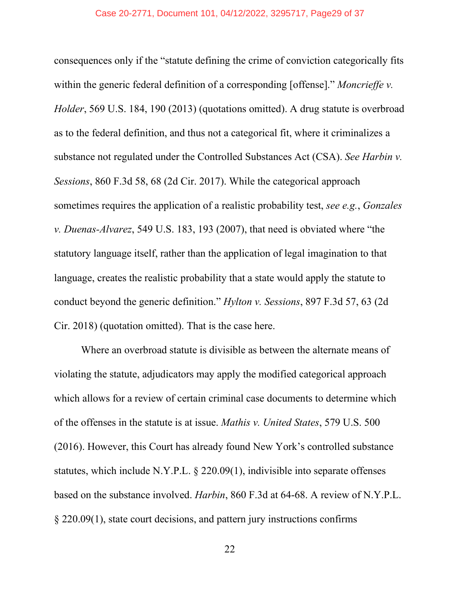#### Case 20-2771, Document 101, 04/12/2022, 3295717, Page29 of 37

consequences only if the "statute defining the crime of conviction categorically fits within the generic federal definition of a corresponding [offense]." *Moncrieffe v. Holder*, 569 U.S. 184, 190 (2013) (quotations omitted). A drug statute is overbroad as to the federal definition, and thus not a categorical fit, where it criminalizes a substance not regulated under the Controlled Substances Act (CSA). *See Harbin v. Sessions*, 860 F.3d 58, 68 (2d Cir. 2017). While the categorical approach sometimes requires the application of a realistic probability test, *see e.g.*, *Gonzales v. Duenas-Alvarez*, 549 U.S. 183, 193 (2007), that need is obviated where "the statutory language itself, rather than the application of legal imagination to that language, creates the realistic probability that a state would apply the statute to conduct beyond the generic definition." *Hylton v. Sessions*, 897 F.3d 57, 63 (2d Cir. 2018) (quotation omitted). That is the case here.

Where an overbroad statute is divisible as between the alternate means of violating the statute, adjudicators may apply the modified categorical approach which allows for a review of certain criminal case documents to determine which of the offenses in the statute is at issue. *Mathis v. United States*, 579 U.S. 500 (2016). However, this Court has already found New York's controlled substance statutes, which include N.Y.P.L. § 220.09(1), indivisible into separate offenses based on the substance involved. *Harbin*, 860 F.3d at 64-68. A review of N.Y.P.L. § 220.09(1), state court decisions, and pattern jury instructions confirms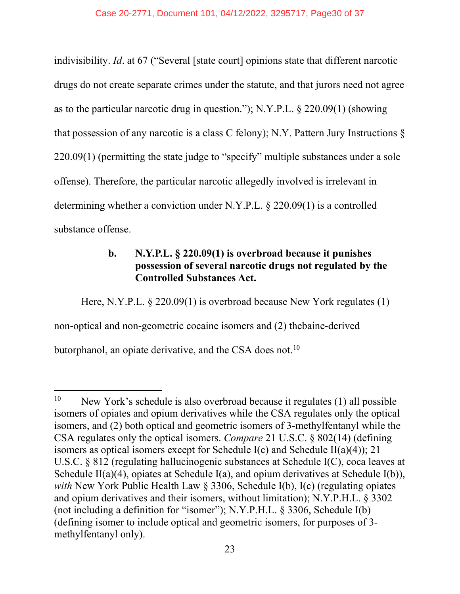indivisibility. *Id*. at 67 ("Several [state court] opinions state that different narcotic drugs do not create separate crimes under the statute, and that jurors need not agree as to the particular narcotic drug in question."); N.Y.P.L. § 220.09(1) (showing that possession of any narcotic is a class C felony); N.Y. Pattern Jury Instructions § 220.09(1) (permitting the state judge to "specify" multiple substances under a sole offense). Therefore, the particular narcotic allegedly involved is irrelevant in determining whether a conviction under N.Y.P.L. § 220.09(1) is a controlled substance offense.

## **b. N.Y.P.L. § 220.09(1) is overbroad because it punishes possession of several narcotic drugs not regulated by the Controlled Substances Act.**

Here, N.Y.P.L. § 220.09(1) is overbroad because New York regulates (1) non-optical and non-geometric cocaine isomers and (2) thebaine-derived butorphanol, an opiate derivative, and the CSA does not.<sup>[10](#page-29-0)</sup>

<span id="page-29-0"></span><sup>&</sup>lt;sup>10</sup> New York's schedule is also overbroad because it regulates (1) all possible isomers of opiates and opium derivatives while the CSA regulates only the optical isomers, and (2) both optical and geometric isomers of 3-methylfentanyl while the CSA regulates only the optical isomers. *Compare* 21 U.S.C. § 802(14) (defining isomers as optical isomers except for Schedule I(c) and Schedule II(a)(4)); 21 U.S.C. § 812 (regulating hallucinogenic substances at Schedule I(C), coca leaves at Schedule II(a)(4), opiates at Schedule I(a), and opium derivatives at Schedule I(b)), *with* New York Public Health Law § 3306, Schedule I(b), I(c) (regulating opiates and opium derivatives and their isomers, without limitation); N.Y.P.H.L. § 3302 (not including a definition for "isomer"); N.Y.P.H.L. § 3306, Schedule I(b) (defining isomer to include optical and geometric isomers, for purposes of 3 methylfentanyl only).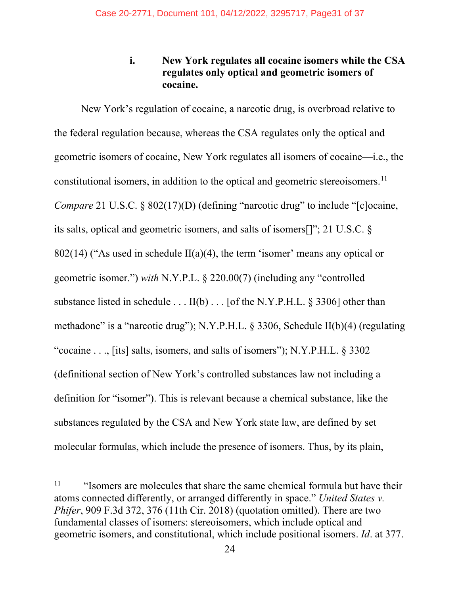**i. New York regulates all cocaine isomers while the CSA regulates only optical and geometric isomers of cocaine.**

New York's regulation of cocaine, a narcotic drug, is overbroad relative to the federal regulation because, whereas the CSA regulates only the optical and geometric isomers of cocaine, New York regulates all isomers of cocaine—i.e., the constitutional isomers, in addition to the optical and geometric stereoisomers.<sup>[11](#page-30-0)</sup> *Compare* 21 U.S.C. § 802(17)(D) (defining "narcotic drug" to include "[c]ocaine, its salts, optical and geometric isomers, and salts of isomers[]"; 21 U.S.C. § 802(14) ("As used in schedule  $II(a)(4)$ , the term 'isomer' means any optical or geometric isomer.") *with* N.Y.P.L. § 220.00(7) (including any "controlled substance listed in schedule . . . II(b) . . . [of the N.Y.P.H.L. § 3306] other than methadone" is a "narcotic drug"); N.Y.P.H.L. § 3306, Schedule II(b)(4) (regulating "cocaine . . ., [its] salts, isomers, and salts of isomers"); N.Y.P.H.L. § 3302 (definitional section of New York's controlled substances law not including a definition for "isomer"). This is relevant because a chemical substance, like the substances regulated by the CSA and New York state law, are defined by set molecular formulas, which include the presence of isomers. Thus, by its plain,

<span id="page-30-0"></span> $11$  "Isomers are molecules that share the same chemical formula but have their atoms connected differently, or arranged differently in space." *United States v. Phifer*, 909 F.3d 372, 376 (11th Cir. 2018) (quotation omitted). There are two fundamental classes of isomers: stereoisomers, which include optical and geometric isomers, and constitutional, which include positional isomers. *Id*. at 377.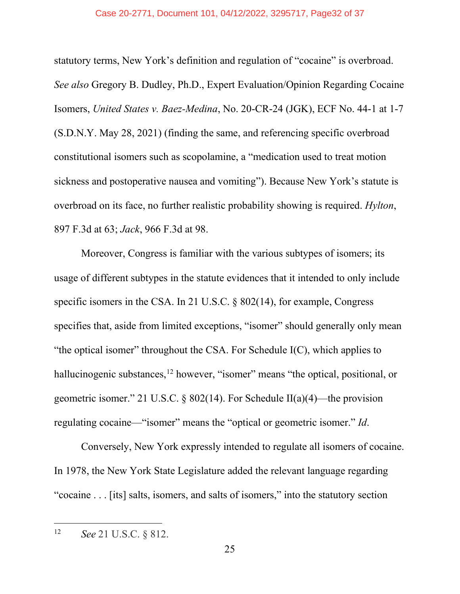#### Case 20-2771, Document 101, 04/12/2022, 3295717, Page32 of 37

statutory terms, New York's definition and regulation of "cocaine" is overbroad. *See also* Gregory B. Dudley, Ph.D., Expert Evaluation/Opinion Regarding Cocaine Isomers, *United States v. Baez-Medina*, No. 20-CR-24 (JGK), ECF No. 44-1 at 1-7 (S.D.N.Y. May 28, 2021) (finding the same, and referencing specific overbroad constitutional isomers such as scopolamine, a "medication used to treat motion sickness and postoperative nausea and vomiting"). Because New York's statute is overbroad on its face, no further realistic probability showing is required. *Hylton*, 897 F.3d at 63; *Jack*, 966 F.3d at 98.

Moreover, Congress is familiar with the various subtypes of isomers; its usage of different subtypes in the statute evidences that it intended to only include specific isomers in the CSA. In 21 U.S.C. § 802(14), for example, Congress specifies that, aside from limited exceptions, "isomer" should generally only mean "the optical isomer" throughout the CSA. For Schedule  $I(C)$ , which applies to hallucinogenic substances,<sup>[12](#page-31-0)</sup> however, "isomer" means "the optical, positional, or geometric isomer." 21 U.S.C. § 802(14). For Schedule II(a)(4)—the provision regulating cocaine—"isomer" means the "optical or geometric isomer." *Id*.

Conversely, New York expressly intended to regulate all isomers of cocaine. In 1978, the New York State Legislature added the relevant language regarding "cocaine . . . [its] salts, isomers, and salts of isomers," into the statutory section

<span id="page-31-0"></span><sup>12</sup> *See* 21 U.S.C. § 812.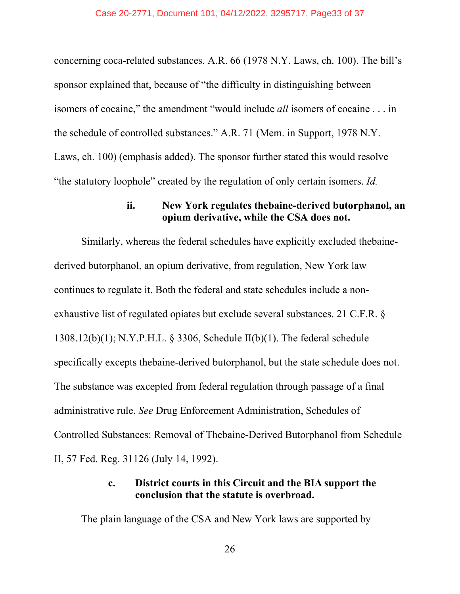#### Case 20-2771, Document 101, 04/12/2022, 3295717, Page33 of 37

concerning coca-related substances. A.R. 66 (1978 N.Y. Laws, ch. 100). The bill's sponsor explained that, because of "the difficulty in distinguishing between isomers of cocaine," the amendment "would include *all* isomers of cocaine . . . in the schedule of controlled substances." A.R. 71 (Mem. in Support, 1978 N.Y. Laws, ch. 100) (emphasis added). The sponsor further stated this would resolve "the statutory loophole" created by the regulation of only certain isomers. *Id.*

#### **ii. New York regulates thebaine-derived butorphanol, an opium derivative, while the CSA does not.**

Similarly, whereas the federal schedules have explicitly excluded thebainederived butorphanol, an opium derivative, from regulation, New York law continues to regulate it. Both the federal and state schedules include a nonexhaustive list of regulated opiates but exclude several substances. 21 C.F.R. § 1308.12(b)(1); N.Y.P.H.L. § 3306, Schedule II(b)(1). The federal schedule specifically excepts thebaine-derived butorphanol, but the state schedule does not. The substance was excepted from federal regulation through passage of a final administrative rule. *See* Drug Enforcement Administration, Schedules of Controlled Substances: Removal of Thebaine-Derived Butorphanol from Schedule II, 57 Fed. Reg. 31126 (July 14, 1992).

## **c. District courts in this Circuit and the BIA support the conclusion that the statute is overbroad.**

The plain language of the CSA and New York laws are supported by

26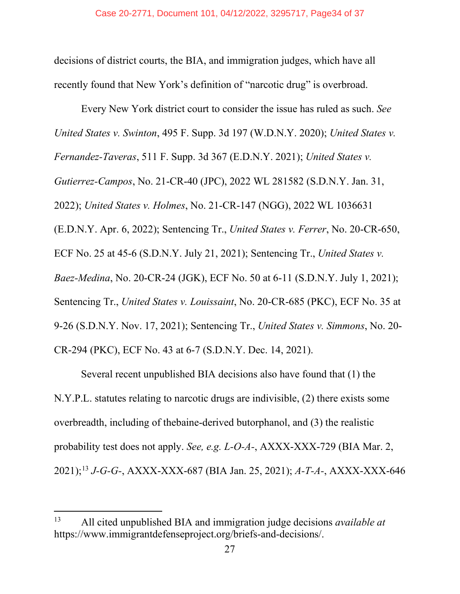decisions of district courts, the BIA, and immigration judges, which have all recently found that New York's definition of "narcotic drug" is overbroad.

Every New York district court to consider the issue has ruled as such. *See United States v. Swinton*, 495 F. Supp. 3d 197 (W.D.N.Y. 2020); *United States v. Fernandez-Taveras*, 511 F. Supp. 3d 367 (E.D.N.Y. 2021); *United States v. Gutierrez-Campos*, No. 21-CR-40 (JPC), 2022 WL 281582 (S.D.N.Y. Jan. 31, 2022); *United States v. Holmes*, No. 21-CR-147 (NGG), 2022 WL 1036631 (E.D.N.Y. Apr. 6, 2022); Sentencing Tr., *United States v. Ferrer*, No. 20-CR-650, ECF No. 25 at 45-6 (S.D.N.Y. July 21, 2021); Sentencing Tr., *United States v. Baez-Medina*, No. 20-CR-24 (JGK), ECF No. 50 at 6-11 (S.D.N.Y. July 1, 2021); Sentencing Tr., *United States v. Louissaint*, No. 20-CR-685 (PKC), ECF No. 35 at 9-26 (S.D.N.Y. Nov. 17, 2021); Sentencing Tr., *United States v. Simmons*, No. 20- CR-294 (PKC), ECF No. 43 at 6-7 (S.D.N.Y. Dec. 14, 2021).

Several recent unpublished BIA decisions also have found that (1) the N.Y.P.L. statutes relating to narcotic drugs are indivisible, (2) there exists some overbreadth, including of thebaine-derived butorphanol, and (3) the realistic probability test does not apply. *See, e.g. L-O-A-*, AXXX-XXX-729 (BIA Mar. 2, 2021); [13](#page-33-0) *J-G-G-*, AXXX-XXX-687 (BIA Jan. 25, 2021); *A-T-A-*, AXXX-XXX-646

<span id="page-33-0"></span><sup>13</sup> All cited unpublished BIA and immigration judge decisions *available at* https://www.immigrantdefenseproject.org/briefs-and-decisions/.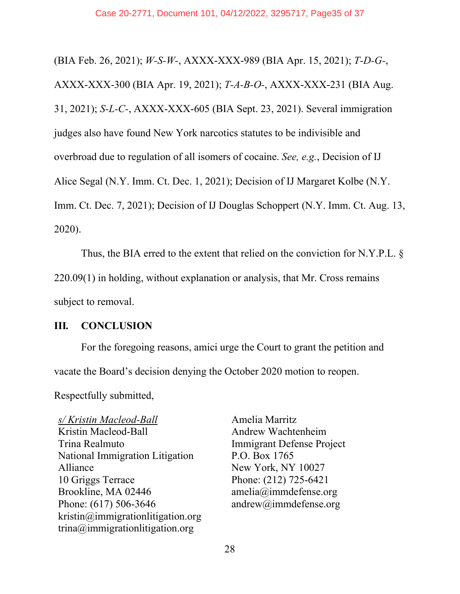(BIA Feb. 26, 2021); *W-S-W-*, AXXX-XXX-989 (BIA Apr. 15, 2021); *T-D-G-*, AXXX-XXX-300 (BIA Apr. 19, 2021); *T-A-B-O-*, AXXX-XXX-231 (BIA Aug. 31, 2021); *S-L-C-*, AXXX-XXX-605 (BIA Sept. 23, 2021). Several immigration judges also have found New York narcotics statutes to be indivisible and overbroad due to regulation of all isomers of cocaine. *See, e.g.*, Decision of IJ Alice Segal (N.Y. Imm. Ct. Dec. 1, 2021); Decision of IJ Margaret Kolbe (N.Y. Imm. Ct. Dec. 7, 2021); Decision of IJ Douglas Schoppert (N.Y. Imm. Ct. Aug. 13, 2020).

Thus, the BIA erred to the extent that relied on the conviction for N.Y.P.L. §

220.09(1) in holding, without explanation or analysis, that Mr. Cross remains

subject to removal.

## <span id="page-34-0"></span>**III***.* **CONCLUSION**

For the foregoing reasons, amici urge the Court to grant the petition and vacate the Board's decision denying the October 2020 motion to reopen.

Respectfully submitted,

*s/ Kristin Macleod-Ball*  Kristin Macleod-Ball Trina Realmuto National Immigration Litigation Alliance 10 Griggs Terrace Brookline, MA 02446 Phone: (617) 506-3646 kristin@immigrationlitigation.org trina@immigrationlitigation.org

Amelia Marritz Andrew Wachtenheim Immigrant Defense Project P.O. Box 1765 New York, NY 10027 Phone: (212) 725-6421 amelia@immdefense.org andrew@immdefense.org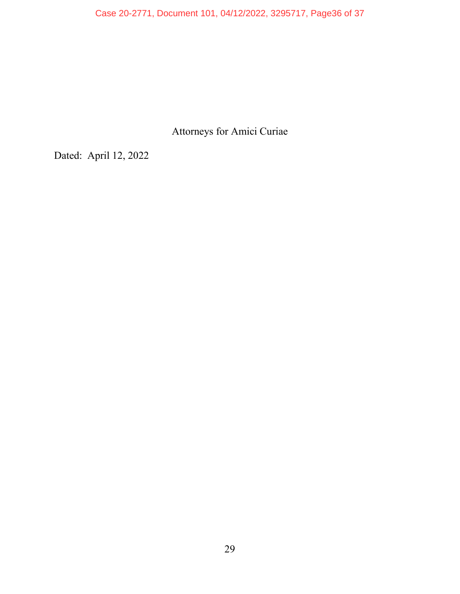Case 20-2771, Document 101, 04/12/2022, 3295717, Page36 of 37

Attorneys for Amici Curiae

Dated: April 12, 2022